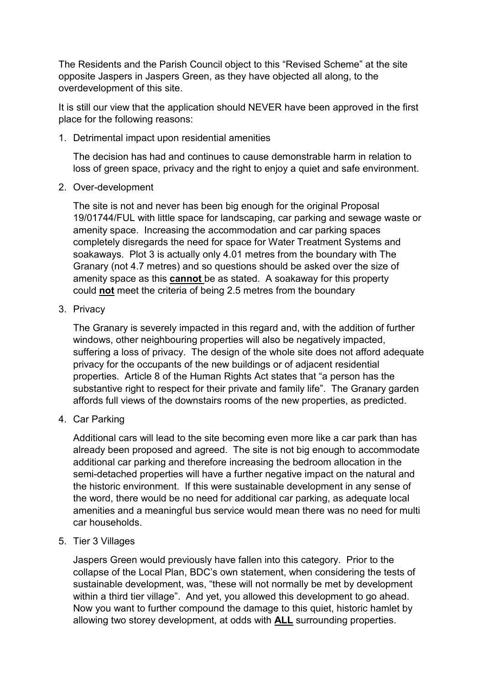The Residents and the Parish Council object to this "Revised Scheme" at the site opposite Jaspers in Jaspers Green, as they have objected all along, to the overdevelopment of this site.

It is still our view that the application should NEVER have been approved in the first place for the following reasons:

1. Detrimental impact upon residential amenities

The decision has had and continues to cause demonstrable harm in relation to loss of green space, privacy and the right to enjoy a quiet and safe environment.

2. Over-development

The site is not and never has been big enough for the original Proposal 19/01744/FUL with little space for landscaping, car parking and sewage waste or amenity space. Increasing the accommodation and car parking spaces completely disregards the need for space for Water Treatment Systems and soakaways. Plot 3 is actually only 4.01 metres from the boundary with The Granary (not 4.7 metres) and so questions should be asked over the size of amenity space as this **cannot** be as stated. A soakaway for this property could **not** meet the criteria of being 2.5 metres from the boundary

3. Privacy

The Granary is severely impacted in this regard and, with the addition of further windows, other neighbouring properties will also be negatively impacted, suffering a loss of privacy. The design of the whole site does not afford adequate privacy for the occupants of the new buildings or of adjacent residential properties. Article 8 of the Human Rights Act states that "a person has the substantive right to respect for their private and family life". The Granary garden affords full views of the downstairs rooms of the new properties, as predicted.

4. Car Parking

Additional cars will lead to the site becoming even more like a car park than has already been proposed and agreed. The site is not big enough to accommodate additional car parking and therefore increasing the bedroom allocation in the semi-detached properties will have a further negative impact on the natural and the historic environment. If this were sustainable development in any sense of the word, there would be no need for additional car parking, as adequate local amenities and a meaningful bus service would mean there was no need for multi car households.

5. Tier 3 Villages

Jaspers Green would previously have fallen into this category. Prior to the collapse of the Local Plan, BDC's own statement, when considering the tests of sustainable development, was, "these will not normally be met by development within a third tier village". And yet, you allowed this development to go ahead. Now you want to further compound the damage to this quiet, historic hamlet by allowing two storey development, at odds with **ALL** surrounding properties.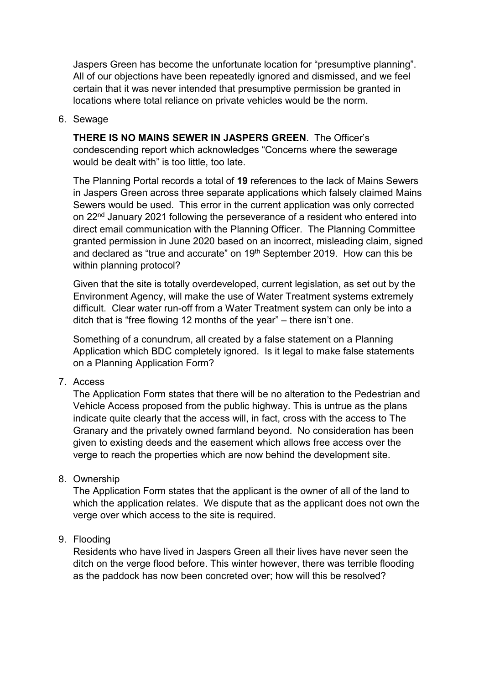Jaspers Green has become the unfortunate location for "presumptive planning". All of our objections have been repeatedly ignored and dismissed, and we feel certain that it was never intended that presumptive permission be granted in locations where total reliance on private vehicles would be the norm.

## 6. Sewage

**THERE IS NO MAINS SEWER IN JASPERS GREEN**. The Officer's condescending report which acknowledges "Concerns where the sewerage would be dealt with" is too little, too late.

The Planning Portal records a total of **19** references to the lack of Mains Sewers in Jaspers Green across three separate applications which falsely claimed Mains Sewers would be used. This error in the current application was only corrected on 22nd January 2021 following the perseverance of a resident who entered into direct email communication with the Planning Officer. The Planning Committee granted permission in June 2020 based on an incorrect, misleading claim, signed and declared as "true and accurate" on 19<sup>th</sup> September 2019. How can this be within planning protocol?

Given that the site is totally overdeveloped, current legislation, as set out by the Environment Agency, will make the use of Water Treatment systems extremely difficult. Clear water run-off from a Water Treatment system can only be into a ditch that is "free flowing 12 months of the year" – there isn't one.

Something of a conundrum, all created by a false statement on a Planning Application which BDC completely ignored. Is it legal to make false statements on a Planning Application Form?

7. Access

The Application Form states that there will be no alteration to the Pedestrian and Vehicle Access proposed from the public highway. This is untrue as the plans indicate quite clearly that the access will, in fact, cross with the access to The Granary and the privately owned farmland beyond. No consideration has been given to existing deeds and the easement which allows free access over the verge to reach the properties which are now behind the development site.

## 8. Ownership

The Application Form states that the applicant is the owner of all of the land to which the application relates. We dispute that as the applicant does not own the verge over which access to the site is required.

## 9. Flooding

Residents who have lived in Jaspers Green all their lives have never seen the ditch on the verge flood before. This winter however, there was terrible flooding as the paddock has now been concreted over; how will this be resolved?